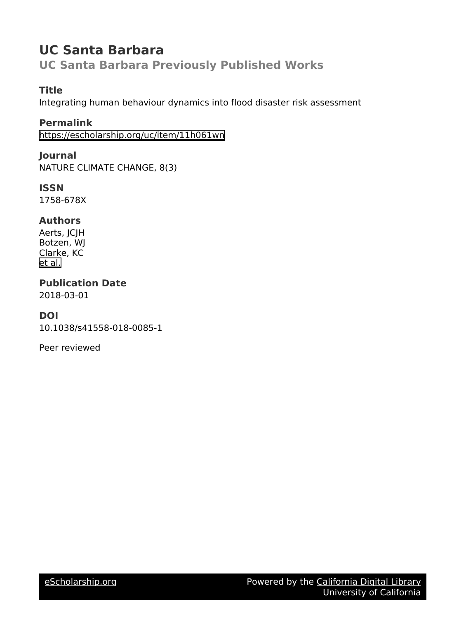## **UC Santa Barbara**

**UC Santa Barbara Previously Published Works**

### **Title**

Integrating human behaviour dynamics into flood disaster risk assessment

## **Permalink**

<https://escholarship.org/uc/item/11h061wn>

### **Journal**

NATURE CLIMATE CHANGE, 8(3)

### **ISSN** 1758-678X

### **Authors**

Aerts, JCJH Botzen, WJ Clarke, KC [et al.](https://escholarship.org/uc/item/11h061wn#author)

## **Publication Date**

2018-03-01

## **DOI**

10.1038/s41558-018-0085-1

Peer reviewed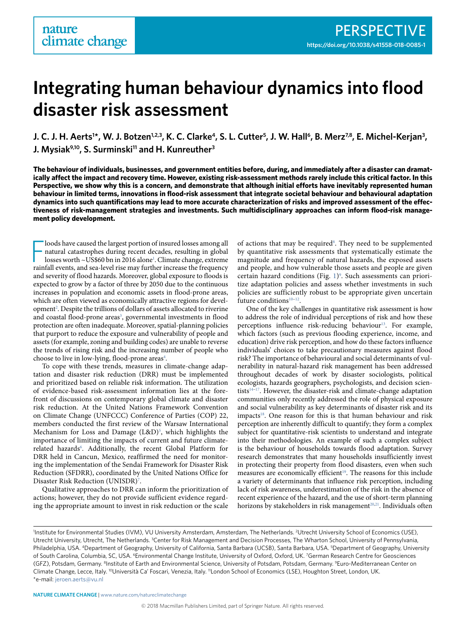# **Integrating human behaviour dynamics into flood disaster risk assessment**

J. C. J. H. Aerts<sup>1</sup>\*, W. J. Botzen<sup>1,2,3</sup>, K. C. Clarke<sup>4</sup>, S. L. Cutter<sup>5</sup>, J. W. Hall<sup>6</sup>, B. Merz<sup>7,8</sup>, E. Michel-Kerjan<sup>3</sup>, **J. Mysiak9,10, S. Surminski11 and H. Kunreuther3**

**The behaviour of individuals, businesses, and government entities before, during, and immediately after a disaster can dramatically affect the impact and recovery time. However, existing risk-assessment methods rarely include this critical factor. In this Perspective, we show why this is a concern, and demonstrate that although initial efforts have inevitably represented human behaviour in limited terms, innovations in flood-risk assessment that integrate societal behaviour and behavioural adaptation dynamics into such quantifications may lead to more accurate characterization of risks and improved assessment of the effectiveness of risk-management strategies and investments. Such multidisciplinary approaches can inform flood-risk management policy development.**

 $\blacksquare$  loods have caused the largest portion of insured losses among all natural catastrophes during recent decades, resulting in global losses worth ~US\$60 bn in 2016 alone<sup>1</sup>. Climate change, extreme rainfall events, an loods have caused the largest portion of insured losses among all natural catastrophes during recent decades, resulting in global losses worth ~US\$60 bn in 2016 alone<sup>1</sup>. Climate change, extreme and severity of flood hazards. Moreover, global exposure to floods is expected to grow by a factor of three by 2050 due to the continuous increases in population and economic assets in flood-prone areas, which are often viewed as economically attractive regions for development<sup>2</sup>. Despite the trillions of dollars of assets allocated to riverine and coastal flood-prone areas<sup>3</sup>, governmental investments in flood protection are often inadequate. Moreover, spatial-planning policies that purport to reduce the exposure and vulnerability of people and assets (for example, zoning and building codes) are unable to reverse the trends of rising risk and the increasing number of people who choose to live in low-lying, flood-prone areas $4$ .

To cope with these trends, measures in climate-change adaptation and disaster risk reduction (DRR) must be implemented and prioritized based on reliable risk information. The utilization of evidence-based risk-assessment information lies at the forefront of discussions on contemporary global climate and disaster risk reduction. At the United Nations Framework Convention on Climate Change (UNFCCC) Conference of Parties (COP) 22, members conducted the first review of the Warsaw International Mechanism for Loss and Damage  $(L&D)^5$ , which highlights the importance of limiting the impacts of current and future climaterelated hazards<sup>6</sup>. Additionally, the recent Global Platform for DRR held in Cancun, Mexico, reaffirmed the need for monitoring the implementation of the Sendai Framework for Disaster Risk Reduction (SFDRR), coordinated by the United Nations Office for Disaster Risk Reduction (UNISDR)<sup>7</sup>.

Qualitative approaches to DRR can inform the prioritization of actions; however, they do not provide sufficient evidence regarding the appropriate amount to invest in risk reduction or the scale

of actions that may be required<sup>8</sup>. They need to be supplemented by quantitative risk assessments that systematically estimate the magnitude and frequency of natural hazards, the exposed assets and people, and how vulnerable those assets and people are given certain hazard conditions (Fig.  $1$ )<sup>9</sup>. Such assessments can prioritize adaptation policies and assess whether investments in such policies are sufficiently robust to be appropriate given uncertain future conditions<sup>10-12</sup>.

One of the key challenges in quantitative risk assessment is how to address the role of individual perceptions of risk and how these perceptions influence risk-reducing behaviour<sup>13</sup>. For example, which factors (such as previous flooding experience, income, and education) drive risk perception, and how do these factors influence individuals' choices to take precautionary measures against flood risk? The importance of behavioural and social determinants of vulnerability in natural-hazard risk management has been addressed throughout decades of work by disaster sociologists, political ecologists, hazards geographers, psychologists, and decision scientists $14-17$ . However, the disaster-risk and climate-change adaptation communities only recently addressed the role of physical exposure and social vulnerability as key determinants of disaster risk and its impacts<sup>18</sup>. One reason for this is that human behaviour and risk perception are inherently difficult to quantify; they form a complex subject for quantitative-risk scientists to understand and integrate into their methodologies. An example of such a complex subject is the behaviour of households towards flood adaptation. Survey research demonstrates that many households insufficiently invest in protecting their property from flood disasters, even when such measures are economically efficient<sup>19</sup>. The reasons for this include a variety of determinants that influence risk perception, including lack of risk awareness, underestimation of the risk in the absence of recent experience of the hazard, and the use of short-term planning horizons by stakeholders in risk management<sup>20,21</sup>. Individuals often

1 Institute for Environmental Studies (IVM), VU University Amsterdam, Amsterdam, The Netherlands. 2 Utrecht University School of Economics (USE), Utrecht University, Utrecht, The Netherlands. <sup>3</sup>Center for Risk Management and Decision Processes, The Wharton School, University of Pennsylvania, Philadelphia, USA. <sup>4</sup>Department of Geography, University of California, Santa Barbara (UCSB), Santa Barbara, USA. <sup>5</sup>Department of Geography, University of South Carolina, Columbia, SC, USA. <sup>6</sup>Environmental Change Institute, University of Oxford, Oxford, UK. <sup>7</sup>German Research Centre for Geosciences (GFZ), Potsdam, Germany. 8Institute of Earth and Environmental Science, University of Potsdam, Potsdam, Germany. 9Euro-Mediterranean Center on Climate Change, Lecce, Italy. <sup>10</sup>Università Ca' Foscari, Venezia, Italy. <sup>11</sup>London School of Economics (LSE), Houghton Street, London, UK. \*e-mail: [jeroen.aerts@vu.nl](mailto:jeroen.aerts@vu.nl)

**Nature Climate Change** | [www.nature.com/natureclimatechange](http://www.nature.com/natureclimatechange)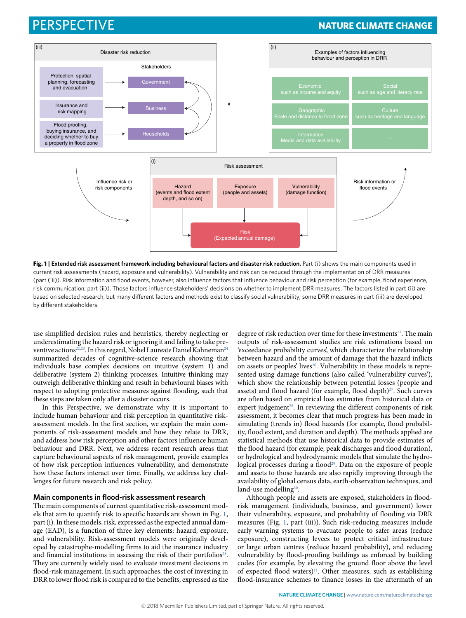### Perspective **NaTure ClImaTe CHange**



**Fig. 1 | Extended risk assessment framework including behavioural factors and disaster risk reduction.** Part (i) shows the main components used in current risk assessments (hazard, exposure and vulnerability). Vulnerability and risk can be reduced through the implementation of DRR measures (part (iii)). Risk information and flood events, however, also influence factors that influence behaviour and risk perception (for example, flood experience, risk communication; part (ii)). Those factors influence stakeholders' decisions on whether to implement DRR measures. The factors listed in part (ii) are based on selected research, but many different factors and methods exist to classify social vulnerability; some DRR measures in part (iii) are developed by different stakeholders.

use simplified decision rules and heuristics, thereby neglecting or underestimating the hazard risk or ignoring it and failing to take preventive actions<sup>22,23</sup>. In this regard, Nobel Laureate Daniel Kahneman<sup>24</sup> summarized decades of cognitive-science research showing that individuals base complex decisions on intuitive (system 1) and deliberative (system 2) thinking processes. Intuitive thinking may outweigh deliberative thinking and result in behavioural biases with respect to adopting protective measures against flooding, such that these steps are taken only after a disaster occurs.

In this Perspective, we demonstrate why it is important to include human behaviour and risk perception in quantitative riskassessment models. In the first section, we explain the main components of risk-assessment models and how they relate to DRR, and address how risk perception and other factors influence human behaviour and DRR. Next, we address recent research areas that capture behavioural aspects of risk management, provide examples of how risk perception influences vulnerability, and demonstrate how these factors interact over time. Finally, we address key challenges for future research and risk policy.

### **Main components in flood-risk assessment research**

The main components of current quantitative risk-assessment models that aim to quantify risk to specific hazards are shown in Fig. 1, part (i). In these models, risk, expressed as the expected annual damage (EAD), is a function of three key elements: hazard, exposure, and vulnerability. Risk-assessment models were originally developed by catastrophe-modelling firms to aid the insurance industry and financial institutions in assessing the risk of their portfolios<sup>25</sup>. They are currently widely used to evaluate investment decisions in flood-risk management. In such approaches, the cost of investing in DRR to lower flood risk is compared to the benefits, expressed as the

degree of risk reduction over time for these investments<sup>11</sup>. The main outputs of risk-assessment studies are risk estimations based on 'exceedance probability curves', which characterize the relationship between hazard and the amount of damage that the hazard inflicts on assets or peoples' lives<sup>26</sup>. Vulnerability in these models is represented using damage functions (also called 'vulnerability curves'), which show the relationship between potential losses (people and assets) and flood hazard (for example, flood depth)<sup>27</sup>. Such curves are often based on empirical loss estimates from historical data or expert judgement<sup>28</sup>. In reviewing the different components of risk assessment, it becomes clear that much progress has been made in simulating (trends in) flood hazards (for example, flood probability, flood extent, and duration and depth). The methods applied are statistical methods that use historical data to provide estimates of the flood hazard (for example, peak discharges and flood duration), or hydrological and hydrodynamic models that simulate the hydrological processes during a flood<sup>29</sup>. Data on the exposure of people and assets to those hazards are also rapidly improving through the availability of global census data, earth-observation techniques, and land-use modelling<sup>30</sup>.

Although people and assets are exposed, stakeholders in floodrisk management (individuals, business, and government) lower their vulnerability, exposure, and probability of flooding via DRR measures (Fig. 1, part (iii)). Such risk-reducing measures include early warning systems to evacuate people to safer areas (reduce exposure), constructing levees to protect critical infrastructure or large urban centres (reduce hazard probability), and reducing vulnerability by flood-proofing buildings as enforced by building codes (for example, by elevating the ground floor above the level of expected flood waters)<sup>11</sup>. Other measures, such as establishing flood-insurance schemes to finance losses in the aftermath of an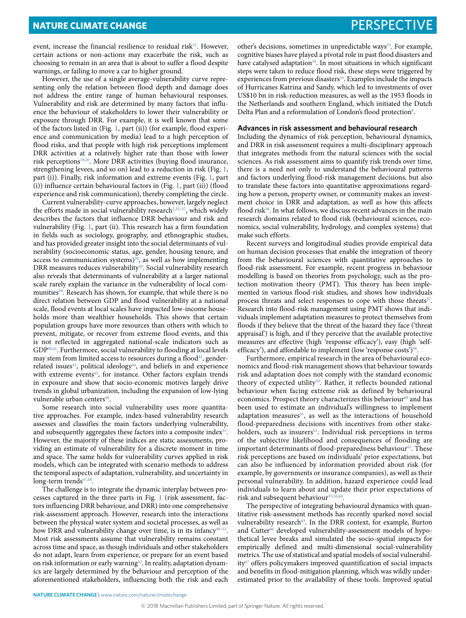### **NATURE CLIMATE CHANGE PERSPECTIVE**

event, increase the financial resilience to residual risk<sup>31</sup>. However, certain actions or non-actions may exacerbate the risk, such as choosing to remain in an area that is about to suffer a flood despite warnings, or failing to move a car to higher ground.

However, the use of a single average-vulnerability curve representing only the relation between flood depth and damage does not address the entire range of human behavioural responses. Vulnerability and risk are determined by many factors that influence the behaviour of stakeholders to lower their vulnerability or exposure through DRR. For example, it is well known that some of the factors listed in (Fig. 1, part (ii)) (for example, flood experience and communication by media) lead to a high perception of flood risks, and that people with high risk perceptions implement DRR activities at a relatively higher rate than those with lower risk perceptions<sup>19,20</sup>. More DRR activities (buying flood insurance, strengthening levees, and so on) lead to a reduction in risk (Fig. 1, part (i)). Finally, risk information and extreme events (Fig. 1, part (i)) influence certain behavioural factors in (Fig. 1, part (ii)) (flood experience and risk communication), thereby completing the circle.

Current vulnerability-curve approaches, however, largely neglect the efforts made in social vulnerability research<sup>2,32-37</sup>, which widely describes the factors that influence DRR behaviour and risk and vulnerability (Fig. 1, part (ii). This research has a firm foundation in fields such as sociology, geography, and ethnographic studies, and has provided greater insight into the social determinants of vulnerability (socioeconomic status, age, gender, housing tenure, and access to communication systems)<sup>38</sup>, as well as how implementing DRR measures reduces vulnerability<sup>39</sup>. Social vulnerability research also reveals that determinants of vulnerability at a larger national scale rarely explain the variance in the vulnerability of local communities<sup>39</sup>. Research has shown, for example, that while there is no direct relation between GDP and flood vulnerability at a national scale, flood events at local scales have impacted low-income households more than wealthier households. This shows that certain population groups have more resources than others with which to prevent, mitigate, or recover from extreme flood events, and this is not reflected in aggregated national-scale indicators such as GDP40,41. Furthermore, social vulnerability to flooding at local levels may stem from limited access to resources during a flood $42$ , genderrelated issues<sup>43</sup>, political ideology<sup>44</sup>, and beliefs in and experience with extreme events<sup>45</sup>, for instance. Other factors explain trends in exposure and show that socio-economic motives largely drive trends in global urbanization, including the expansion of low-lying vulnerable urban centers<sup>46</sup>.

Some research into social vulnerability uses more quantitative approaches. For example, index-based vulnerability research assesses and classifies the main factors underlying vulnerability, and subsequently aggregates these factors into a composite index<sup>35</sup>. However, the majority of these indices are static assessments, providing an estimate of vulnerability for a discrete moment in time and space. The same holds for vulnerability curves applied in risk models, which can be integrated with scenario methods to address the temporal aspects of adaptation, vulnerability, and uncertainty in long-term trends<sup>47,48</sup>.

The challenge is to integrate the dynamic interplay between processes captured in the three parts in Fig. 1 (risk assessment, factors influencing DRR behaviour, and DRR) into one comprehensive risk-assessment approach. However, research into the interactions between the physical water system and societal processes, as well as how DRR and vulnerability change over time, is in its infancy<sup>49-51</sup>. Most risk assessments assume that vulnerability remains constant across time and space, as though individuals and other stakeholders do not adapt, learn from experience, or prepare for an event based on risk information or early warning<sup>52</sup>. In reality, adaptation dynamics are largely determined by the behaviour and perception of the aforementioned stakeholders, influencing both the risk and each

other's decisions, sometimes in unpredictable ways<sup>53</sup>. For example, cognitive biases have played a pivotal role in past flood disasters and have catalysed adaptation<sup>54</sup>. In most situations in which significant steps were taken to reduce flood risk, these steps were triggered by experiences from previous disasters<sup>55</sup>. Examples include the impacts of Hurricanes Katrina and Sandy, which led to investments of over US\$10 bn in risk-reduction measures, as well as the 1953 floods in the Netherlands and southern England, which initiated the Dutch Delta Plan and a reformulation of London's flood protection<sup>8</sup>.

#### **Advances in risk assessment and behavioural research**

Including the dynamics of risk perception, behavioural dynamics, and DRR in risk assessment requires a multi-disciplinary approach that integrates methods from the natural sciences with the social sciences. As risk assessment aims to quantify risk trends over time, there is a need not only to understand the behavioural patterns and factors underlying flood-risk management decisions, but also to translate these factors into quantitative approximations regarding how a person, property owner, or community makes an investment choice in DRR and adaptation, as well as how this affects flood risk<sup>56</sup>. In what follows, we discuss recent advances in the main research domains related to flood risk (behavioural sciences, economics, social vulnerability, hydrology, and complex systems) that make such efforts.

Recent surveys and longitudinal studies provide empirical data on human decision processes that enable the integration of theory from the behavioural sciences with quantitative approaches to flood-risk assessment. For example, recent progress in behaviour modelling is based on theories from psychology, such as the protection motivation theory (PMT). This theory has been implemented in various flood-risk studies, and shows how individuals process threats and select responses to cope with those threats<sup>57</sup>. Research into flood-risk management using PMT shows that individuals implement adaptation measures to protect themselves from floods if they believe that the threat of the hazard they face ('threat appraisal') is high, and if they perceive that the available protective measures are effective (high 'response efficacy'), easy (high 'selfefficacy'), and affordable to implement (low 'response costs')<sup>58</sup>.

Furthermore, empirical research in the area of behavioural economics and flood-risk management shows that behaviour towards risk and adaptation does not comply with the standard economic theory of expected utility<sup>59</sup>. Rather, it reflects bounded rational behaviour when facing extreme risk as defined by behavioural economics. Prospect theory characterizes this behaviour<sup>60</sup> and has been used to estimate an individual's willingness to implement adaptation measures<sup>61</sup>, as well as the interactions of household flood-preparedness decisions with incentives from other stakeholders, such as insurers<sup>62</sup>. Individual risk perceptions in terms of the subjective likelihood and consequences of flooding are important determinants of flood-preparedness behaviour $63$ . These risk perceptions are based on individuals' prior expectations, but can also be influenced by information provided about risk (for example, by governments or insurance companies), as well as their personal vulnerability. In addition, hazard experience could lead individuals to learn about and update their prior expectations of risk and subsequent behaviour<sup>55,56,64</sup>.

The perspective of integrating behavioural dynamics with quantitative risk-assessment methods has recently sparked novel social vulnerability research<sup>65</sup>. In the DRR context, for example, Burton and Cutter<sup>66</sup> developed vulnerability-assessment models of hypothetical levee breaks and simulated the socio-spatial impacts for empirically defined and multi-dimensional social-vulnerability metrics. The use of statistical and spatial models of social vulnerabil $ity<sup>67</sup>$  offers policymakers improved quantification of social impacts and benefits in flood-mitigation planning, which was wildly underestimated prior to the availability of these tools. Improved spatial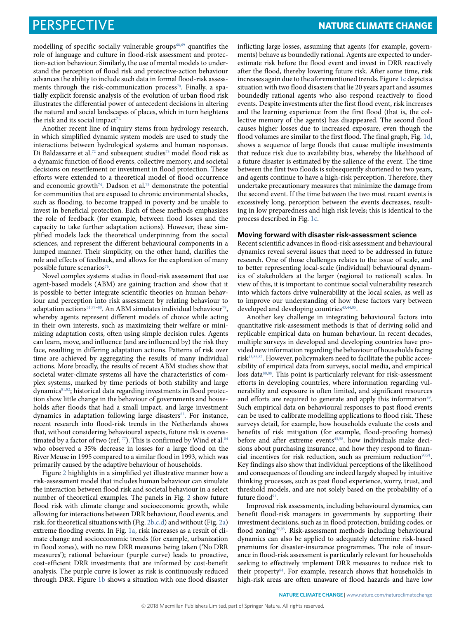## Perspective **NaTure ClImaTe CHange**

modelling of specific socially vulnerable groups<sup>68,69</sup> quantifies the role of language and culture in flood-risk assessment and protection-action behaviour. Similarly, the use of mental models to understand the perception of flood risk and protective-action behaviour advances the ability to include such data in formal flood-risk assessments through the risk-communication process<sup>70</sup>. Finally, a spatially explicit forensic analysis of the evolution of urban flood risk illustrates the differential power of antecedent decisions in altering the natural and social landscapes of places, which in turn heightens the risk and its social impact<sup>7</sup>

Another recent line of inquiry stems from hydrology research, in which simplified dynamic system models are used to study the interactions between hydrological systems and human responses. Di Baldassarre et al.<sup>72</sup> and subsequent studies<sup>73</sup> model flood risk as a dynamic function of flood events, collective memory, and societal decisions on resettlement or investment in flood protection. These efforts were extended to a theoretical model of flood occurrence and economic growth<sup>74</sup>. Dadson et al.<sup>75</sup> demonstrate the potential for communities that are exposed to chronic environmental shocks, such as flooding, to become trapped in poverty and be unable to invest in beneficial protection. Each of these methods emphasizes the role of feedback (for example, between flood losses and the capacity to take further adaptation actions). However, these simplified models lack the theoretical underpinning from the social sciences, and represent the different behavioural components in a lumped manner. Their simplicity, on the other hand, clarifies the role and effects of feedback, and allows for the exploration of many possible future scenarios<sup>76</sup>.

Novel complex systems studies in flood-risk assessment that use agent-based models (ABM) are gaining traction and show that it is possible to better integrate scientific theories on human behaviour and perception into risk assessment by relating behaviour to adaptation actions<sup>51,77-80</sup>. An ABM simulates individual behaviour<sup>79</sup>, whereby agents represent different models of choice while acting in their own interests, such as maximizing their welfare or minimizing adaptation costs, often using simple decision rules. Agents can learn, move, and influence (and are influenced by) the risk they face, resulting in differing adaptation actions. Patterns of risk over time are achieved by aggregating the results of many individual actions. More broadly, the results of recent ABM studies show that societal water-climate systems all have the characteristics of complex systems, marked by time periods of both stability and large dynamics<sup>81,82</sup>; historical data regarding investments in flood protection show little change in the behaviour of governments and households after floods that had a small impact, and large investment dynamics in adaptation following large disasters<sup>83</sup>. For instance, recent research into flood-risk trends in the Netherlands shows that, without considering behavioural aspects, future risk is overestimated by a factor of two (ref.  $77$ ). This is confirmed by Wind et al.<sup>84</sup> who observed a 35% decrease in losses for a large flood on the River Meuse in 1995 compared to a similar flood in 1993, which was primarily caused by the adaptive behaviour of households.

Figure 2 highlights in a simplified yet illustrative manner how a risk-assessment model that includes human behaviour can simulate the interaction between flood risk and societal behaviour in a select number of theoretical examples. The panels in Fig. 2 show future flood risk with climate change and socioeconomic growth, while allowing for interactions between DRR behaviour, flood events, and risk, for theoretical situations with (Fig. 2b,c,d) and without (Fig. 2a) extreme flooding events. In Fig. 1a, risk increases as a result of climate change and socioeconomic trends (for example, urbanization in flood zones), with no new DRR measures being taken ('No DRR measures'); rational behaviour (purple curve) leads to proactive, cost-efficient DRR investments that are informed by cost-benefit analysis. The purple curve is lower as risk is continuously reduced through DRR. Figure 1b shows a situation with one flood disaster inflicting large losses, assuming that agents (for example, governments) behave as boundedly rational. Agents are expected to underestimate risk before the flood event and invest in DRR reactively after the flood, thereby lowering future risk. After some time, risk increases again due to the aforementioned trends. Figure 1c depicts a situation with two flood disasters that lie 20 years apart and assumes boundedly rational agents who also respond reactively to flood events. Despite investments after the first flood event, risk increases and the learning experience from the first flood (that is, the collective memory of the agents) has disappeared. The second flood causes higher losses due to increased exposure, even though the flood volumes are similar to the first flood. The final graph, Fig. 1d, shows a sequence of large floods that cause multiple investments that reduce risk due to availability bias, whereby the likelihood of a future disaster is estimated by the salience of the event. The time between the first two floods is subsequently shortened to two years, and agents continue to have a high-risk perception. Therefore, they undertake precautionary measures that minimize the damage from the second event. If the time between the two most recent events is excessively long, perception between the events decreases, resulting in low preparedness and high risk levels; this is identical to the process described in Fig. 1c.

#### **Moving forward with disaster risk-assessment science**

Recent scientific advances in flood-risk assessment and behavioural dynamics reveal several issues that need to be addressed in future research. One of those challenges relates to the issue of scale, and to better representing local-scale (individual) behavioural dynamics of stakeholders at the larger (regional to national) scales. In view of this, it is important to continue social vulnerability research into which factors drive vulnerability at the local scales, as well as to improve our understanding of how these factors vary between developed and developing countries<sup>43,44,85</sup>.

Another key challenge in integrating behavioural factors into quantitative risk-assessment methods is that of deriving solid and replicable empirical data on human behaviour. In recent decades, multiple surveys in developed and developing countries have provided new information regarding the behaviour of households facing risk43,86,87. However, policymakers need to facilitate the public accessibility of empirical data from surveys, social media, and empirical loss data<sup>80,88</sup>. This point is particularly relevant for risk-assessment efforts in developing countries, where information regarding vulnerability and exposure is often limited, and significant resources and efforts are required to generate and apply this information<sup>89</sup>. Such empirical data on behavioural responses to past flood events can be used to calibrate modelling applications to flood risk. These surveys detail, for example, how households evaluate the costs and benefits of risk mitigation (for example, flood-proofing homes) before and after extreme events<sup>43,58</sup>, how individuals make decisions about purchasing insurance, and how they respond to financial incentives for risk reduction, such as premium reduction $90,91$ . Key findings also show that individual perceptions of the likelihood and consequences of flooding are indeed largely shaped by intuitive thinking processes, such as past flood experience, worry, trust, and threshold models, and are not solely based on the probability of a future flood<sup>91</sup>.

Improved risk assessments, including behavioural dynamics, can benefit flood-risk managers in governments by supporting their investment decisions, such as in flood protection, building codes, or flood zoning<sup>92,93</sup>. Risk-assessment methods including behavioural dynamics can also be applied to adequately determine risk-based premiums for disaster-insurance programmes. The role of insurance in flood-risk assessment is particularly relevant for households seeking to effectively implement DRR measures to reduce risk to their property<sup>94</sup>. For example, research shows that households in high-risk areas are often unaware of flood hazards and have low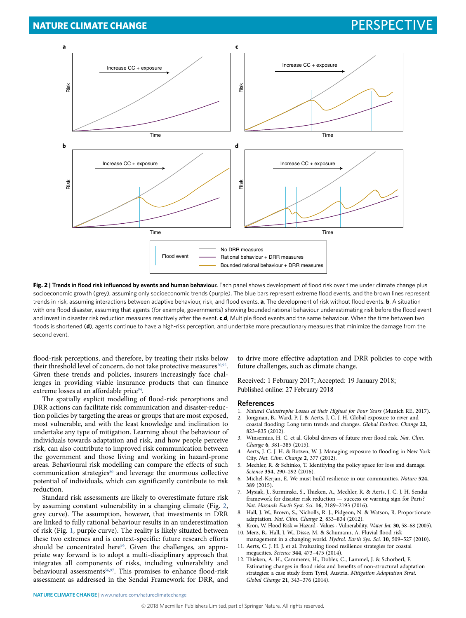

**Fig. 2 | Trends in flood risk influenced by events and human behaviour.** Each panel shows development of flood risk over time under climate change plus socioeconomic growth (grey), assuming only socioeconomic trends (purple). The blue bars represent extreme flood events, and the brown lines represent trends in risk, assuming interactions between adaptive behaviour, risk, and flood events. **a**, The development of risk without flood events. **b**, A situation with one flood disaster, assuming that agents (for example, governments) showing bounded rational behaviour underestimating risk before the flood event and invest in disaster risk reduction measures reactively after the event. **c**,**d**, Multiple flood events and the same behaviour. When the time between two floods is shortened (**d**), agents continue to have a high-risk perception, and undertake more precautionary measures that minimize the damage from the second event.

flood-risk perceptions, and therefore, by treating their risks below their threshold level of concern, do not take protective measures<sup>20,95</sup>. Given these trends and policies, insurers increasingly face challenges in providing viable insurance products that can finance extreme losses at an affordable price<sup>94</sup>.

The spatially explicit modelling of flood-risk perceptions and DRR actions can facilitate risk communication and disaster-reduction policies by targeting the areas or groups that are most exposed, most vulnerable, and with the least knowledge and inclination to undertake any type of mitigation. Learning about the behaviour of individuals towards adaptation and risk, and how people perceive risk, can also contribute to improved risk communication between the government and those living and working in hazard-prone areas. Behavioural risk modelling can compare the effects of such communication strategies<sup>80</sup> and leverage the enormous collective potential of individuals, which can significantly contribute to risk reduction.

Standard risk assessments are likely to overestimate future risk by assuming constant vulnerability in a changing climate (Fig. 2, grey curve). The assumption, however, that investments in DRR are linked to fully rational behaviour results in an underestimation of risk (Fig. 1, purple curve). The reality is likely situated between these two extremes and is context-specific: future research efforts should be concentrated here<sup>96</sup>. Given the challenges, an appropriate way forward is to adopt a multi-disciplinary approach that integrates all components of risks, including vulnerability and behavioural assessments<sup>56,97</sup>. This promises to enhance flood-risk assessment as addressed in the Sendai Framework for DRR, and

to drive more effective adaptation and DRR policies to cope with future challenges, such as climate change.

Received: 1 February 2017; Accepted: 19 January 2018; Published online: 27 February 2018

#### **References**

- 1. *Natural Catastrophe Losses at their Highest for Four Years* (Munich RE, 2017).
- 2. Jongman, B., Ward, P. J. & Aerts, J. C. J. H. Global exposure to river and coastal fooding: Long term trends and changes. *Global Environ. Change* **22**, 823–835 (2012).
- 3. Winsemius, H. C. et al. Global drivers of future river food risk. *Nat. Clim. Change* **6**, 381–385 (2015).
- 4. Aerts, J. C. J. H. & Botzen, W. J. Managing exposure to fooding in New York City. *Nat. Clim. Change* **2**, 377 (2012).
- 5. Mechler, R. & Schinko, T. Identifying the policy space for loss and damage. *Science* **354**, 290–292 (2016).
- 6. Michel-Kerjan, E. We must build resilience in our communities. *Nature* **524**, 389 (2015).
- 7. Mysiak, J., Surminski, S., Tieken, A., Mechler, R. & Aerts, J. C. J. H. Sendai framework for disaster risk reduction — success or warning sign for Paris? *Nat. Hazards Earth Syst. Sci.* **16**, 2189–2193 (2016).
- 8. Hall, J. W., Brown, S., Nicholls, R. J., Pidgeon, N. & Watson, R. Proportionate adaptation. *Nat. Clim. Change* **2**, 833–834 (2012).
- 9. Kron, W. Flood Risk = Hazard · Values · Vulnerability. *Water Int.* **30**, 58–68 (2005). 10. Merz, B., Hall, J. W., Disse, M. & Schumann, A. Fluvial food risk
- management in a changing world. *Hydrol. Earth Sys. Sci.* **10**, 509–527 (2010). 11. Aerts, C. J. H. J. et al. Evaluating flood resilience strategies for coastal
- megacities. *Science* **344**, 473–475 (2014). 12. Tieken, A. H., Cammerer, H., Dobler, C., Lammel, J. & Schorberl, F.
- Estimating changes in food risks and benefts of non-structural adaptation strategies: a case study from Tyrol, Austria. *Mitigation Adaptation Strat. Global Change* **21**, 343–376 (2014).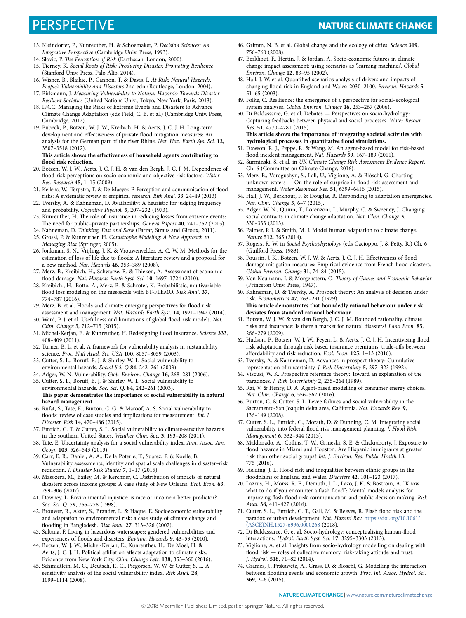- 13. Kleindorfer, P., Kunreuther, H. & Schoemaker, P. *Decision Sciences: An Integrative Perspective* (Cambridge Univ. Press, 1993).
- 14. Slovic, P. *The Perception of Risk* (Earthscan, London, 2000).
- 15. Tierney, K. *Social Roots of Risk: Producing Disaster, Promoting Resilience* (Stanford Univ. Press, Palo Alto, 2014).
- 16. Wisner, B., Blaikie, P., Cannon, T. & Davis, I. *At Risk: Natural Hazards, People's Vulnerability and Disasters* 2nd edn (Routledge, London, 2004).
- 17. Birkmann, J. *Measuring Vulnerability to Natural Hazards: Towards Disaster Resilient Societies* (United Nations Univ., Tokyo, New York, Paris, 2013).
- 18. IPCC. Managing the Risks of Extreme Events and Disasters to Advance Climate Change Adaptation (eds Field, C. B. et al.) (Cambridge Univ. Press, Cambridge, 2012).
- 19. Bubeck, P., Botzen, W. J. W., Kreibich, H. & Aerts, J. C. J. H. Long-term development and effectiveness of private flood mitigation measures: An analysis for the German part of the river Rhine. *Nat. Haz. Earth Sys. Sci.* **12**, 3507–3518 (2012).

#### **Tis article shows the efectiveness of household agents contributing to**  flood risk reduction.

- 20. Botzen, W. J. W., Aerts, J. C. J. H. & van den Bergh, J. C. J. M. Dependence of food-risk perceptions on socio-economic and objective risk factors. *Water Res. Research* **45**, 1–15 (2009).
- 21. Kellens, W., Terpstra, T. & De Maeyer, P. Perception and communication of food risks: A systematic review of empirical research. *Risk Anal.* **33**, 24–49 (2013).
- 22. Tversky, A. & Kahneman, D. Availability: A heuristic for judging frequency and probability. *Cognitive Psychol.* **5**, 207–232 (1973).
- 23. Kunreuther, H. The role of insurance in reducing losses from extreme events: The need for public–private partnerships. *Geneva Papers* 40, 741–762 (2015).
- 24. Kahneman, D. *Tinking, Fast and Slow* (Farrar, Straus and Giroux, 2011). 25. Grossi, P. & Kunreuther, H. *Catastrophe Modeling: A New Approach to Managing Risk* (Springer, 2005).
- 26. Jonkman, S. N., Vrijling, J. K. & Vrouwenvelder, A. C. W. M. Methods for the estimation of loss of life due to foods: A literature review and a proposal for a new method. *Nat. Hazards* **46**, 353–389 (2008).
- 27. Merz, B., Kreibich, H., Schwarze, R. & Tieken, A. Assessment of economic food damage. *Nat. Hazards Earth Syst. Sci.* **10**, 1697–1724 (2010).
- 28. Kreibich., H., Botto, A., Merz, B. & Schroter, K. Probabilistic, multivariable food loss modeling on the mesoscale with BT-FLEMO. *Risk Anal.* **37**, 774–787 (2016).
- 29. Merz, B. et al. Floods and climate: emerging perspectives for food risk assessment and management. *Nat. Hazards Earth Syst.* **14**, 1921–1942 (2014). 30. Ward, P. J. et al. Usefulness and limitations of global food risk models. *Nat.*
- *Clim. Change* **5**, 712–715 (2015).
- 31. Michel-Kerjan, E. & Kunreuther, H. Redesigning food insurance. *Science* **333**, 408–409 (2011).
- 32. Turner, B. L. et al. A framework for vulnerability analysis in sustainability science. *Proc. Natl Acad. Sci. USA* **100**, 8057–8059 (2003).
- 33. Cutter, S. L., Boruf, B. J. & Shirley, W. L. Social vulnerability to environmental hazards. *Social Sci. Q* **84**, 242–261 (2003).
- 34. Adger, W. N. Vulnerability. *Glob. Environ. Change* **16**, 268–281 (2006).
- 35. Cutter, S. L., Boruf, B. J. & Shirley, W. L. Social vulnerability to environmental hazards. *Soc. Sci. Q.* **84**, 242–261 (2003). **Tis paper demonstrates the importance of social vulnerability in natural hazard management.**
- 36. Rufat, S., Tate, E., Burton, C. G. & Maroof, A. S. Social vulnerability to foods: review of case studies and implications for measurement. *Int. J. Disaster. Risk* **14**, 470–486 (2015).
- 37. Emrich, C. T. & Cutter, S. L. Social vulnerability to climate-sensitive hazards in the southern United States. *Weather Clim. Soc.* **3**, 193–208 (2011).
- 38. Tate, E. Uncertainty analysis for a social vulnerability index. *Ann. Assoc. Am. Geogr.* **103**, 526–543 (2013).
- 39. Carr, E. R., Daniel, A. A., De la Poterie, T., Suarez, P. & Koelle, B. Vulnerability assessments, identity and spatial scale challenges in disaster–risk reduction. *J. Disaster Risk Studies* **7**, 1–17 (2015).
- 40. Masozera, M., Bailey, M. & Kerchner, C. Distribution of impacts of natural disasters across income groups: A case study of New Orleans. *Ecol. Econ.* **63**, 299–306 (2007).
- 41. Downey, L. Environmental injustice: is race or income a better predictor? *Soc. Sci. Q.* **79**, 766–778 (1998).
- 42. Brouwer, R., Akter, S., Brander, L. & Haque, E. Socioeconomic vulnerability and adaptation to environmental risk: a case study of climate change and fooding in Bangladesh. *Risk Anal.* **27**, 313–326 (2007).
- 43. Sultana, F. Living in hazardous waterscapes: gendered vulnerabilities and experiences of foods and disasters. *Environ. Hazards* **9**, 43–53 (2010).
- 44. Botzen, W. J. W., Michel-Kerjan, E., Kunreuther, H., De Moel, H. & Aerts, J. C. J. H. Political afliation afects adaptation to climate risks: Evidence from New York City. *Clim. Change Lett.* **138**, 353–360 (2016).
- 45. Schmidtlein, M. C., Deutsch, R. C., Piegorsch, W. W. & Cutter, S. L. A sensitivity analysis of the social vulnerability index. *Risk Anal.* **28**, 1099–1114 (2008).
- 46. Grimm, N. B. et al. Global change and the ecology of cities. *Science* **319**, 756–760 (2008).
- 47. Berkhout, F., Hertin, J. & Jordan, A. Socio-economic futures in climate change impact assessment: using scenarios as 'learning machines'. *Global Environ. Change* **12**, 83–95 (2002).
- 48. Hall, J. W. et al. Quantifed scenarios analysis of drivers and impacts of changing food risk in England and Wales: 2030–2100. *Environ. Hazards* **5**, 51–65 (2003).
- 49. Folke, C. Resilience: the emergence of a perspective for social–ecological system analyses. *Global Environ. Change* **16**, 253–267 (2006).

50. Di Baldassarre, G. et al. Debates — Perspectives on socio-hydrology: Capturing feedbacks between physical and social processes. *Water Resour. Res.* **51**, 4770–4781 (2015). **Tis article shows the importance of integrating societal activities with** 

- **hydrological processes in quantitative food simulations.** 51. Dawson, R. J., Peppe, R. & Wang, M. An agent-based model for risk-based
- food incident management. *Nat. Hazards* **59**, 167–189 (2011). 52. Surminski, S. et al. in *UK Climate Change Risk Assessment Evidence Report*. Ch. 6 (Committee on Climate Change, 2016).
- 53. Merz, B., Vorogushyn, S., Lall, U., Viglione, A. & Blöschl, G. Charting unknown waters — On the role of surprise in food risk assessment and management. *Water Resources Res.* **51**, 6399–6416 (2015).
- 54. Hall, J. W., Berkhout, F. & Douglas, R. Responding to adaptation emergencies. *Nat. Clim. Change* **5**, 6–7 (2015).
- 55. Adger, W. N., Quinn, T., Lorenzoni, I., Murphy, C. & Sweeney, J. Changing social contracts in climate change adaptation. *Nat. Clim. Change* **3**, 330–333 (2013).
- 56. Palmer, P. I. & Smith, M. J. Model human adaptation to climate change. *Nature* **512**, 365 (2014).
- 57. Rogers, R. W. in *Social Psychophysiology* (eds Cacioppo, J. & Petty, R.) Ch. 6 (Guilford Press, 1983).
- 58. Poussin, J. K., Botzen, W. J. W. & Aerts, J. C. J. H. Efectiveness of food damage mitigation measures: Empirical evidence from French food disasters. *Global Environ. Change* **31**, 74–84 (2015).
- 59. Von Neumann, J. & Morgenstern, O. *Teory of Games and Economic Behavior* (Princeton Univ. Press, 1947).
- 60. Kahneman, D. & Tversky, A. Prospect theory: An analysis of decision under risk. *Econometrica* **47**, 263–291 (1979).

**Tis article demonstrates that boundedly rational behaviour under risk deviates from standard rational behaviour.**

- 61. Botzen, W. J. W. & van den Bergh, J. C. J. M. Bounded rationality, climate risks and insurance: Is there a market for natural disasters? *Land Econ.* **85**, 266–279 (2009).
- 62. Hudson, P., Botzen, W. J. W., Feyen, L. & Aerts, J. C. J. H. Incentivising food risk adaptation through risk based insurance premiums: trade-ofs between afordability and risk reduction. *Ecol. Econ.* **125**, 1–13 (2016).
- 63. Tversky, A. & Kahneman, D. Advances in prospect theory: Cumulative representation of uncertainty. *J. Risk Uncertainty* **5**, 297–323 (1992).
- 64. Viscusi, W. K. Prospective reference theory: Toward an explanation of the paradoxes. *J. Risk Uncertainty* **2**, 235–264 (1989).
- 65. Rai, V. & Henry, D. A. Agent-based modelling of consumer energy choices. *Nat. Clim. Change* **6**, 556–562 (2016).
- 66. Burton, C. & Cutter, S. L. Levee failures and social vulnerability in the Sacramento-San Joaquin delta area, California. *Nat. Hazards Rev.* **9**, 136–149 (2008).
- 67. Cutter, S. L., Emrich, C., Morath, D. & Dunning, C. M. Integrating social vulnerability into federal food risk management planning. *J. Flood Risk Management* **6**, 332–344 (2013).
- 68. Maldonado, A., Collins, T. W., Grineski, S. E. & Chakraborty, J. Exposure to food hazards in Miami and Houston: Are Hispanic immigrants at greater risk than other social groups? *Int. J. Environ. Res. Public Health* **13**, 775 (2016).
- 69. Fielding, J. L. Flood risk and inequalities between ethnic groups in the foodplains of England and Wales. *Disasters* **42**, 101–123 (2017).
- 70. Lazrus, H., Morss, R. E., Demuth, J. L., Lazo, J. K. & Bostrom, A. "Know what to do if you encounter a flash flood": Mental models analysis for improving fash food risk communication and public decision making. *Risk Anal.* **36**, 411–427 (2016).
- 71. Cutter, S. L., Emrich, C. T., Gall, M. & Reeves, R. Flash food risk and the paradox of urban development. *Nat. Hazard Rev.* [https://doi.org/10.1061/](https://doi.org/10.1061/(ASCE)NH.1527-6996.0000268) [\(ASCE\)NH.1527-6996.0000268](https://doi.org/10.1061/(ASCE)NH.1527-6996.0000268) (2018).
- 72. Di Baldassarre, G. et al. Socio-hydrology: conceptualising human-food interactions. *Hydrol. Earth Syst. Sci.* **17**, 3295–3303 (2013).
- 73. Viglione, A. et al. Insights from socio-hydrology modelling on dealing with food risk — roles of collective memory, risk-taking attitude and trust. *J. Hydrol.* **518**, 71–82 (2014).
- 74. Grames, J., Prskawetz, A., Grass, D. & Bloschl, G. Modelling the interaction between fooding events and economic growth. *Proc. Int. Assoc. Hydrol. Sci.* **369**, 3–6 (2015).

### Perspective **NaTure ClImaTe CHange**